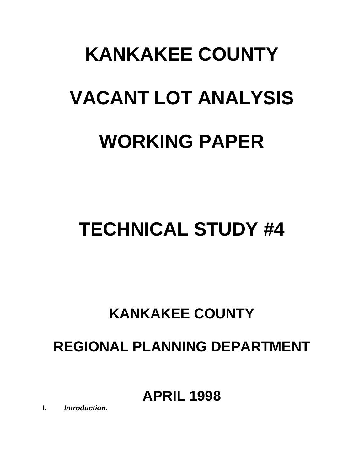# **KANKAKEE COUNTY VACANT LOT ANALYSIS WORKING PAPER**

# **TECHNICAL STUDY #4**

# **KANKAKEE COUNTY**

# **REGIONAL PLANNING DEPARTMENT**

## **APRIL 1998**

**I.** *Introduction.*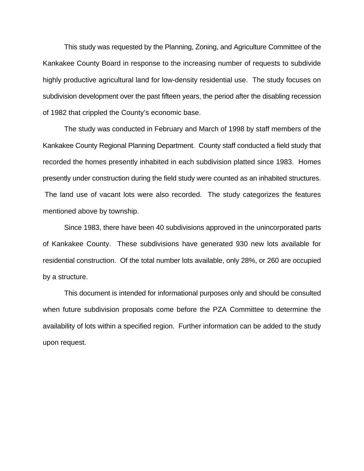This study was requested by the Planning, Zoning, and Agriculture Committee of the Kankakee County Board in response to the increasing number of requests to subdivide highly productive agricultural land for low-density residential use. The study focuses on subdivision development over the past fifteen years, the period after the disabling recession of 1982 that crippled the County's economic base.

The study was conducted in February and March of 1998 by staff members of the Kankakee County Regional Planning Department. County staff conducted a field study that recorded the homes presently inhabited in each subdivision platted since 1983. Homes presently under construction during the field study were counted as an inhabited structures. The land use of vacant lots were also recorded. The study categorizes the features mentioned above by township.

Since 1983, there have been 40 subdivisions approved in the unincorporated parts of Kankakee County. These subdivisions have generated 930 new lots available for residential construction. Of the total number lots available, only 28%, or 260 are occupied by a structure.

This document is intended for informational purposes only and should be consulted when future subdivision proposals come before the PZA Committee to determine the availability of lots within a specified region. Further information can be added to the study upon request.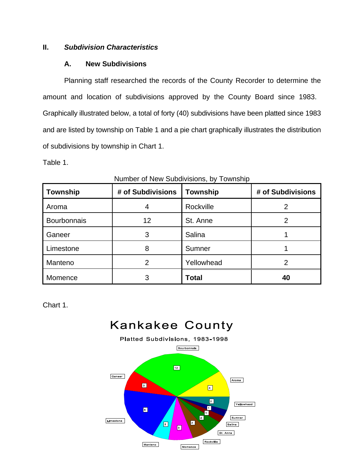#### **II.** *Subdivision Characteristics*

#### **A. New Subdivisions**

Planning staff researched the records of the County Recorder to determine the amount and location of subdivisions approved by the County Board since 1983. Graphically illustrated below, a total of forty (40) subdivisions have been platted since 1983 and are listed by township on Table 1 and a pie chart graphically illustrates the distribution of subdivisions by township in Chart 1.

Table 1.

| <b>Township</b> | # of Subdivisions | <b>Township</b> | # of Subdivisions |
|-----------------|-------------------|-----------------|-------------------|
| Aroma           |                   | Rockville       |                   |
| Bourbonnais     | 12                | St. Anne        |                   |
| Ganeer          | 3                 | Salina          |                   |
| Limestone       | 8                 | Sumner          |                   |
| Manteno         |                   | Yellowhead      |                   |
| Momence         | 3                 | <b>Total</b>    | 40                |

Number of New Subdivisions, by Township

Chart 1.

### **Kankakee County**

Platted Subdivisions, 1983-1998 **Bourbonnals**  $\boxed{12}$ Ganeer Aroma  $\blacksquare$  $\boxed{2}$  $\boxed{2}$ Yellowhead  $\blacksquare$  $\boxed{\bullet}$  $\blacksquare$  $\boxed{2}$ Sumner Limestone  $\boxed{2}$  $\boxed{2}$ Salina  $\blacksquare$ St. Anne Rockville **Manteno** Momence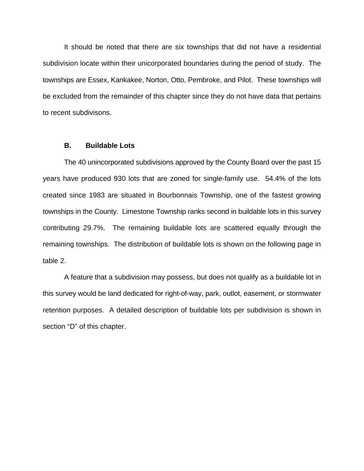It should be noted that there are six townships that did not have a residential subdivision locate within their unicorporated boundaries during the period of study. The townships are Essex, Kankakee, Norton, Otto, Pembroke, and Pilot. These townships will be excluded from the remainder of this chapter since they do not have data that pertains to recent subdivisons.

#### **B. Buildable Lots**

The 40 unincorporated subdivisions approved by the County Board over the past 15 years have produced 930 lots that are zoned for single-family use. 54.4% of the lots created since 1983 are situated in Bourbonnais Township, one of the fastest growing townships in the County. Limestone Township ranks second in buildable lots in this survey contributing 29.7%. The remaining buildable lots are scattered equally through the remaining townships. The distribution of buildable lots is shown on the following page in table 2.

A feature that a subdivision may possess, but does not qualify as a buildable lot in this survey would be land dedicated for right-of-way, park, outlot, easement, or stormwater retention purposes. A detailed description of buildable lots per subdivision is shown in section "D" of this chapter.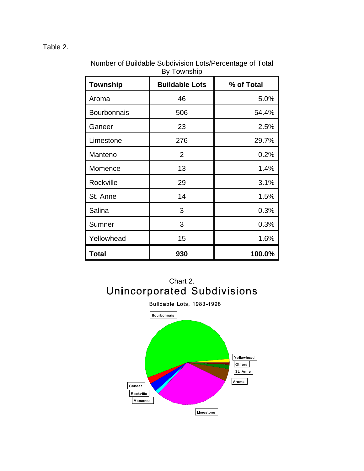#### Table 2.

| <b>Township</b>    | <b>Buildable Lots</b> | % of Total |
|--------------------|-----------------------|------------|
| Aroma              | 46                    | 5.0%       |
| <b>Bourbonnais</b> | 506                   | 54.4%      |
| Ganeer             | 23                    | 2.5%       |
| Limestone          | 276                   | 29.7%      |
| Manteno            | $\overline{2}$        | 0.2%       |
| Momence            | 13                    | 1.4%       |
| Rockville          | 29                    | 3.1%       |
| St. Anne           | 14                    | 1.5%       |
| Salina             | 3                     | 0.3%       |
| Sumner             | 3                     | 0.3%       |
| Yellowhead         | 15                    | 1.6%       |
| Total              | 930                   | 100.0%     |

Number of Buildable Subdivision Lots/Percentage of Total By Township



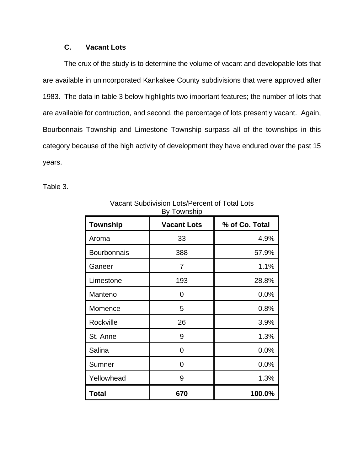#### **C. Vacant Lots**

The crux of the study is to determine the volume of vacant and developable lots that are available in unincorporated Kankakee County subdivisions that were approved after 1983. The data in table 3 below highlights two important features; the number of lots that are available for contruction, and second, the percentage of lots presently vacant. Again, Bourbonnais Township and Limestone Township surpass all of the townships in this category because of the high activity of development they have endured over the past 15 years.

Table 3.

| <b>Township</b>    | <b>Vacant Lots</b> | % of Co. Total |
|--------------------|--------------------|----------------|
| Aroma              | 33                 | 4.9%           |
| <b>Bourbonnais</b> | 388                | 57.9%          |
| Ganeer             | 7                  | 1.1%           |
| Limestone          | 193                | 28.8%          |
| Manteno            | 0                  | 0.0%           |
| Momence            | 5                  | 0.8%           |
| Rockville          | 26                 | 3.9%           |
| St. Anne           | 9                  | 1.3%           |
| Salina             | 0                  | 0.0%           |
| Sumner             | 0                  | 0.0%           |
| Yellowhead         | 9                  | 1.3%           |
| <b>Total</b>       | 670                | 100.0%         |

Vacant Subdivision Lots/Percent of Total Lots By Township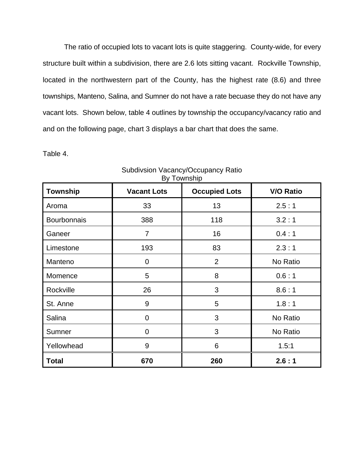The ratio of occupied lots to vacant lots is quite staggering. County-wide, for every structure built within a subdivision, there are 2.6 lots sitting vacant. Rockville Township, located in the northwestern part of the County, has the highest rate (8.6) and three townships, Manteno, Salina, and Sumner do not have a rate becuase they do not have any vacant lots. Shown below, table 4 outlines by township the occupancy/vacancy ratio and and on the following page, chart 3 displays a bar chart that does the same.

Table 4.

| <b>Township</b>    | <b>Vacant Lots</b> | <b>Occupied Lots</b> | <b>V/O Ratio</b> |
|--------------------|--------------------|----------------------|------------------|
| Aroma              | 33                 | 13                   | 2.5:1            |
| <b>Bourbonnais</b> | 388                | 118                  | 3.2:1            |
| Ganeer             | $\overline{7}$     | 16                   | 0.4:1            |
| Limestone          | 193                | 83                   | 2.3:1            |
| Manteno            | 0                  | $\overline{2}$       | No Ratio         |
| Momence            | 5                  | 8                    | 0.6:1            |
| Rockville          | 26                 | 3                    | 8.6:1            |
| St. Anne           | 9                  | 5                    | 1.8:1            |
| Salina             | $\overline{0}$     | 3                    | No Ratio         |
| Sumner             | 0                  | 3                    | No Ratio         |
| Yellowhead         | 9                  | 6                    | 1.5:1            |
| <b>Total</b>       | 670                | 260                  | 2.6:1            |

Subdivsion Vacancy/Occupancy Ratio By Township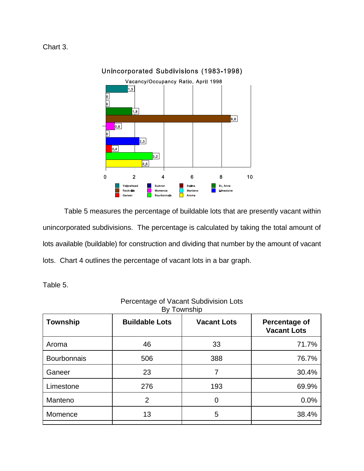Chart 3.



#### Unincorporated Subdivisions (1983-1998)

Table 5 measures the percentage of buildable lots that are presently vacant within unincorporated subdivisions. The percentage is calculated by taking the total amount of lots available (buildable) for construction and dividing that number by the amount of vacant lots. Chart 4 outlines the percentage of vacant lots in a bar graph.

Table 5.

| <b>Township</b>    | <b>Buildable Lots</b> | <b>Vacant Lots</b> | Percentage of<br><b>Vacant Lots</b> |
|--------------------|-----------------------|--------------------|-------------------------------------|
| Aroma              | 46                    | 33                 | 71.7%                               |
| <b>Bourbonnais</b> | 506                   | 388                | 76.7%                               |
| Ganeer             | 23                    | 7                  | 30.4%                               |
| Limestone          | 276                   | 193                | 69.9%                               |
| Manteno            | $\overline{2}$        | 0                  | 0.0%                                |
| Momence            | 13                    | 5                  | 38.4%                               |

#### Percentage of Vacant Subdivision Lots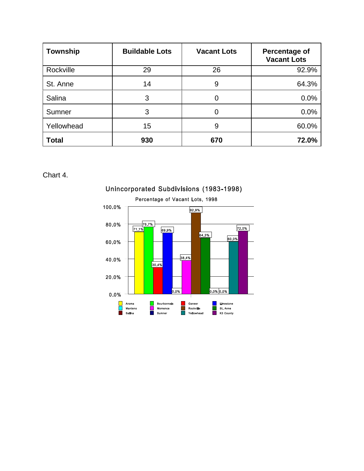| <b>Township</b> | <b>Buildable Lots</b> | <b>Vacant Lots</b> | Percentage of<br><b>Vacant Lots</b> |
|-----------------|-----------------------|--------------------|-------------------------------------|
| Rockville       | 29                    | 26                 | 92.9%                               |
| St. Anne        | 14                    | 9                  | 64.3%                               |
| Salina          | 3                     | 0                  | 0.0%                                |
| Sumner          | 3                     | 0                  | 0.0%                                |
| Yellowhead      | 15                    | 9                  | 60.0%                               |
| <b>Total</b>    | 930                   | 670                | 72.0%                               |

Chart 4.



#### Unincorporated Subdivisions (1983-1998)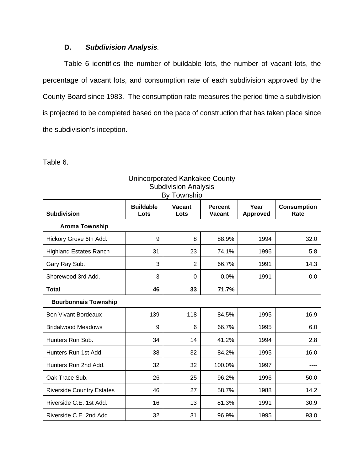#### **D.** *Subdivision Analysis.*

Table 6 identifies the number of buildable lots, the number of vacant lots, the percentage of vacant lots, and consumption rate of each subdivision approved by the County Board since 1983. The consumption rate measures the period time a subdivision is projected to be completed based on the pace of construction that has taken place since the subdivision's inception.

Table 6.

| By Township                      |                          |                       |                                 |                         |                            |
|----------------------------------|--------------------------|-----------------------|---------------------------------|-------------------------|----------------------------|
| <b>Subdivision</b>               | <b>Buildable</b><br>Lots | <b>Vacant</b><br>Lots | <b>Percent</b><br><b>Vacant</b> | Year<br><b>Approved</b> | <b>Consumption</b><br>Rate |
| <b>Aroma Township</b>            |                          |                       |                                 |                         |                            |
| Hickory Grove 6th Add.           | 9                        | 8                     | 88.9%                           | 1994                    | 32.0                       |
| <b>Highland Estates Ranch</b>    | 31                       | 23                    | 74.1%                           | 1996                    | 5.8                        |
| Gary Ray Sub.                    | 3                        | $\overline{2}$        | 66.7%                           | 1991                    | 14.3                       |
| Shorewood 3rd Add.               | 3                        | 0                     | 0.0%                            | 1991                    | 0.0                        |
| <b>Total</b>                     | 46                       | 33                    | 71.7%                           |                         |                            |
| <b>Bourbonnais Township</b>      |                          |                       |                                 |                         |                            |
| <b>Bon Vivant Bordeaux</b>       | 139                      | 118                   | 84.5%                           | 1995                    | 16.9                       |
| <b>Bridalwood Meadows</b>        | 9                        | 6                     | 66.7%                           | 1995                    | 6.0                        |
| Hunters Run Sub.                 | 34                       | 14                    | 41.2%                           | 1994                    | 2.8                        |
| Hunters Run 1st Add.             | 38                       | 32                    | 84.2%                           | 1995                    | 16.0                       |
| Hunters Run 2nd Add.             | 32                       | 32                    | 100.0%                          | 1997                    |                            |
| Oak Trace Sub.                   | 26                       | 25                    | 96.2%                           | 1996                    | 50.0                       |
| <b>Riverside Country Estates</b> | 46                       | 27                    | 58.7%                           | 1988                    | 14.2                       |
| Riverside C.E. 1st Add.          | 16                       | 13                    | 81.3%                           | 1991                    | 30.9                       |
| Riverside C.E. 2nd Add.          | 32                       | 31                    | 96.9%                           | 1995                    | 93.0                       |

#### Unincorporated Kankakee County Subdivision Analysis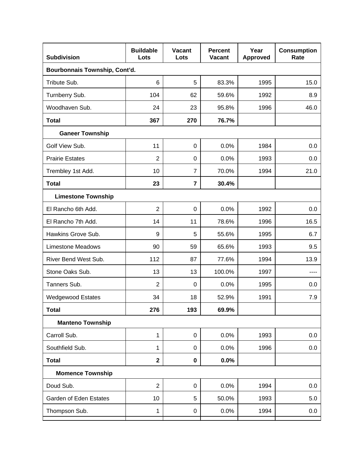| <b>Subdivision</b>            | <b>Buildable</b><br>Lots | <b>Vacant</b><br>Lots | <b>Percent</b><br><b>Vacant</b> | Year<br><b>Approved</b> | <b>Consumption</b><br>Rate |  |  |
|-------------------------------|--------------------------|-----------------------|---------------------------------|-------------------------|----------------------------|--|--|
| Bourbonnais Township, Cont'd. |                          |                       |                                 |                         |                            |  |  |
| Tribute Sub.                  | 6                        | 5                     | 83.3%                           | 1995                    | 15.0                       |  |  |
| Turnberry Sub.                | 104                      | 62                    | 59.6%                           | 1992                    | 8.9                        |  |  |
| Woodhaven Sub.                | 24                       | 23                    | 95.8%                           | 1996                    | 46.0                       |  |  |
| <b>Total</b>                  | 367                      | 270                   | 76.7%                           |                         |                            |  |  |
| <b>Ganeer Township</b>        |                          |                       |                                 |                         |                            |  |  |
| Golf View Sub.                | 11                       | $\mathbf 0$           | 0.0%                            | 1984                    | 0.0                        |  |  |
| <b>Prairie Estates</b>        | $\overline{2}$           | 0                     | 0.0%                            | 1993                    | 0.0                        |  |  |
| Trembley 1st Add.             | 10                       | $\overline{7}$        | 70.0%                           | 1994                    | 21.0                       |  |  |
| <b>Total</b>                  | 23                       | $\overline{7}$        | 30.4%                           |                         |                            |  |  |
| <b>Limestone Township</b>     |                          |                       |                                 |                         |                            |  |  |
| El Rancho 6th Add.            | $\overline{2}$           | $\mathbf 0$           | 0.0%                            | 1992                    | 0.0                        |  |  |
| El Rancho 7th Add.            | 14                       | 11                    | 78.6%                           | 1996                    | 16.5                       |  |  |
| Hawkins Grove Sub.            | 9                        | 5                     | 55.6%                           | 1995                    | 6.7                        |  |  |
| <b>Limestone Meadows</b>      | 90                       | 59                    | 65.6%                           | 1993                    | 9.5                        |  |  |
| River Bend West Sub.          | 112                      | 87                    | 77.6%                           | 1994                    | 13.9                       |  |  |
| Stone Oaks Sub.               | 13                       | 13                    | 100.0%                          | 1997                    | ----                       |  |  |
| Tanners Sub.                  | $\overline{2}$           | 0                     | 0.0%                            | 1995                    | 0.0                        |  |  |
| <b>Wedgewood Estates</b>      | 34                       | 18                    | 52.9%                           | 1991                    | 7.9                        |  |  |
| <b>Total</b>                  | 276                      | 193                   | 69.9%                           |                         |                            |  |  |
| <b>Manteno Township</b>       |                          |                       |                                 |                         |                            |  |  |
| Carroll Sub.                  | 1                        | $\mathbf 0$           | 0.0%                            | 1993                    | 0.0                        |  |  |
| Southfield Sub.               | 1                        | 0                     | 0.0%                            | 1996                    | 0.0                        |  |  |
| <b>Total</b>                  | $\mathbf 2$              | $\mathbf 0$           | $0.0\%$                         |                         |                            |  |  |
| <b>Momence Township</b>       |                          |                       |                                 |                         |                            |  |  |
| Doud Sub.                     | $\overline{2}$           | $\pmb{0}$             | 0.0%                            | 1994                    | 0.0                        |  |  |
| Garden of Eden Estates        | 10                       | 5                     | 50.0%                           | 1993                    | 5.0                        |  |  |
| Thompson Sub.                 | 1                        | $\pmb{0}$             | 0.0%                            | 1994                    | 0.0                        |  |  |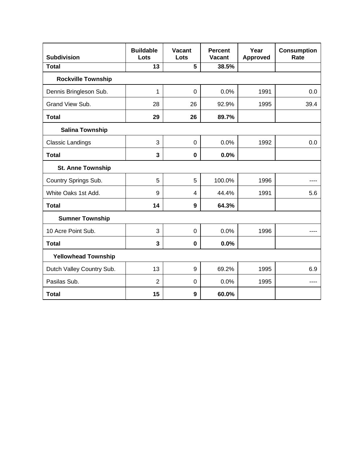| <b>Subdivision</b>         | <b>Buildable</b><br>Lots | <b>Vacant</b><br>Lots | <b>Percent</b><br><b>Vacant</b> | Year<br><b>Approved</b> | <b>Consumption</b><br>Rate |
|----------------------------|--------------------------|-----------------------|---------------------------------|-------------------------|----------------------------|
| <b>Total</b>               | 13                       | 5                     | 38.5%                           |                         |                            |
| <b>Rockville Township</b>  |                          |                       |                                 |                         |                            |
| Dennis Bringleson Sub.     | 1                        | $\overline{0}$        | 0.0%                            | 1991                    | 0.0                        |
| Grand View Sub.            | 28                       | 26                    | 92.9%                           | 1995                    | 39.4                       |
| <b>Total</b>               | 29                       | 26                    | 89.7%                           |                         |                            |
| <b>Salina Township</b>     |                          |                       |                                 |                         |                            |
| <b>Classic Landings</b>    | 3                        | $\overline{0}$        | 0.0%                            | 1992                    | 0.0                        |
| <b>Total</b>               | 3                        | $\mathbf 0$           | 0.0%                            |                         |                            |
| <b>St. Anne Township</b>   |                          |                       |                                 |                         |                            |
| Country Springs Sub.       | 5                        | 5                     | 100.0%                          | 1996                    | ----                       |
| White Oaks 1st Add.        | 9                        | 4                     | 44.4%                           | 1991                    | 5.6                        |
| <b>Total</b>               | 14                       | 9                     | 64.3%                           |                         |                            |
| <b>Sumner Township</b>     |                          |                       |                                 |                         |                            |
| 10 Acre Point Sub.         | 3                        | $\mathbf 0$           | 0.0%                            | 1996                    |                            |
| <b>Total</b>               | 3                        | $\mathbf 0$           | 0.0%                            |                         |                            |
| <b>Yellowhead Township</b> |                          |                       |                                 |                         |                            |
| Dutch Valley Country Sub.  | 13                       | 9                     | 69.2%                           | 1995                    | 6.9                        |
| Pasilas Sub.               | $\overline{2}$           | $\overline{0}$        | 0.0%                            | 1995                    | ----                       |
| <b>Total</b>               | 15                       | $\boldsymbol{9}$      | 60.0%                           |                         |                            |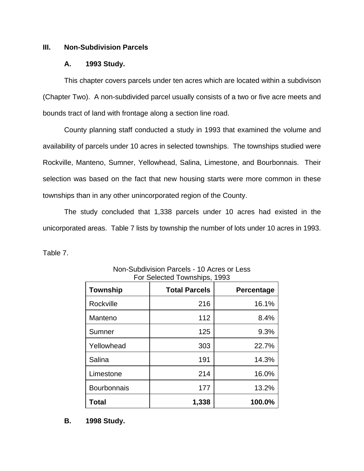#### **III. Non-Subdivision Parcels**

#### **A. 1993 Study.**

This chapter covers parcels under ten acres which are located within a subdivison (Chapter Two). A non-subdivided parcel usually consists of a two or five acre meets and bounds tract of land with frontage along a section line road.

County planning staff conducted a study in 1993 that examined the volume and availability of parcels under 10 acres in selected townships. The townships studied were Rockville, Manteno, Sumner, Yellowhead, Salina, Limestone, and Bourbonnais. Their selection was based on the fact that new housing starts were more common in these townships than in any other unincorporated region of the County.

The study concluded that 1,338 parcels under 10 acres had existed in the unicorporated areas. Table 7 lists by township the number of lots under 10 acres in 1993.

Table 7.

| <b>Township</b>    | <b>Total Parcels</b> | Percentage |
|--------------------|----------------------|------------|
| Rockville          | 216                  | 16.1%      |
| Manteno            | 112                  | 8.4%       |
| Sumner             | 125                  | 9.3%       |
| Yellowhead         | 303                  | 22.7%      |
| Salina             | 191                  | 14.3%      |
| Limestone          | 214                  | 16.0%      |
| <b>Bourbonnais</b> | 177                  | 13.2%      |
| Total              | 1,338                | 100.0%     |

Non-Subdivision Parcels - 10 Acres or Less For Selected Townships, 1993

**B. 1998 Study.**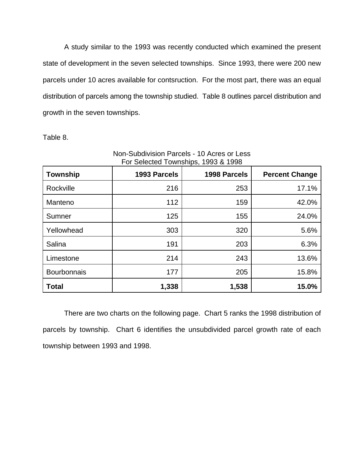A study similar to the 1993 was recently conducted which examined the present state of development in the seven selected townships. Since 1993, there were 200 new parcels under 10 acres available for contsruction. For the most part, there was an equal distribution of parcels among the township studied. Table 8 outlines parcel distribution and growth in the seven townships.

Table 8.

| Township           | 1993 Parcels | 1998 Parcels | <b>Percent Change</b> |
|--------------------|--------------|--------------|-----------------------|
| Rockville          | 216          | 253          | 17.1%                 |
| Manteno            | 112          | 159          | 42.0%                 |
| Sumner             | 125          | 155          | 24.0%                 |
| Yellowhead         | 303          | 320          | 5.6%                  |
| Salina             | 191          | 203          | 6.3%                  |
| Limestone          | 214          | 243          | 13.6%                 |
| <b>Bourbonnais</b> | 177          | 205          | 15.8%                 |
| <b>Total</b>       | 1,338        | 1,538        | 15.0%                 |

Non-Subdivision Parcels - 10 Acres or Less For Selected Townships, 1993 & 1998

There are two charts on the following page. Chart 5 ranks the 1998 distribution of parcels by township. Chart 6 identifies the unsubdivided parcel growth rate of each township between 1993 and 1998.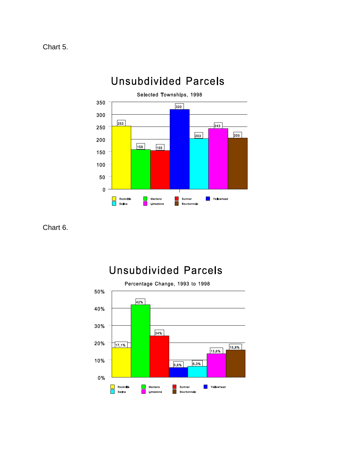



Chart 6.

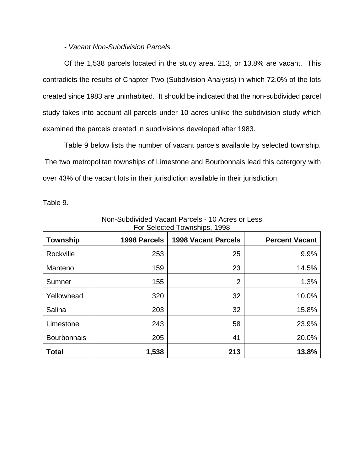*- Vacant Non-Subdivision Parcels.*

Of the 1,538 parcels located in the study area, 213, or 13.8% are vacant. This contradicts the results of Chapter Two (Subdivision Analysis) in which 72.0% of the lots created since 1983 are uninhabited. It should be indicated that the non-subdivided parcel study takes into account all parcels under 10 acres unlike the subdivision study which examined the parcels created in subdivisions developed after 1983.

Table 9 below lists the number of vacant parcels available by selected township. The two metropolitan townships of Limestone and Bourbonnais lead this catergory with over 43% of the vacant lots in their jurisdiction available in their jurisdiction.

Table 9.

| <b>Township</b>    | 1998 Parcels | <b>1998 Vacant Parcels</b> | <b>Percent Vacant</b> |
|--------------------|--------------|----------------------------|-----------------------|
| Rockville          | 253          | 25                         | 9.9%                  |
| Manteno            | 159          | 23                         | 14.5%                 |
| Sumner             | 155          | $\overline{2}$             | 1.3%                  |
| Yellowhead         | 320          | 32                         | 10.0%                 |
| Salina             | 203          | 32                         | 15.8%                 |
| Limestone          | 243          | 58                         | 23.9%                 |
| <b>Bourbonnais</b> | 205          | 41                         | 20.0%                 |
| <b>Total</b>       | 1,538        | 213                        | 13.8%                 |

Non-Subdivided Vacant Parcels - 10 Acres or Less For Selected Townships, 1998